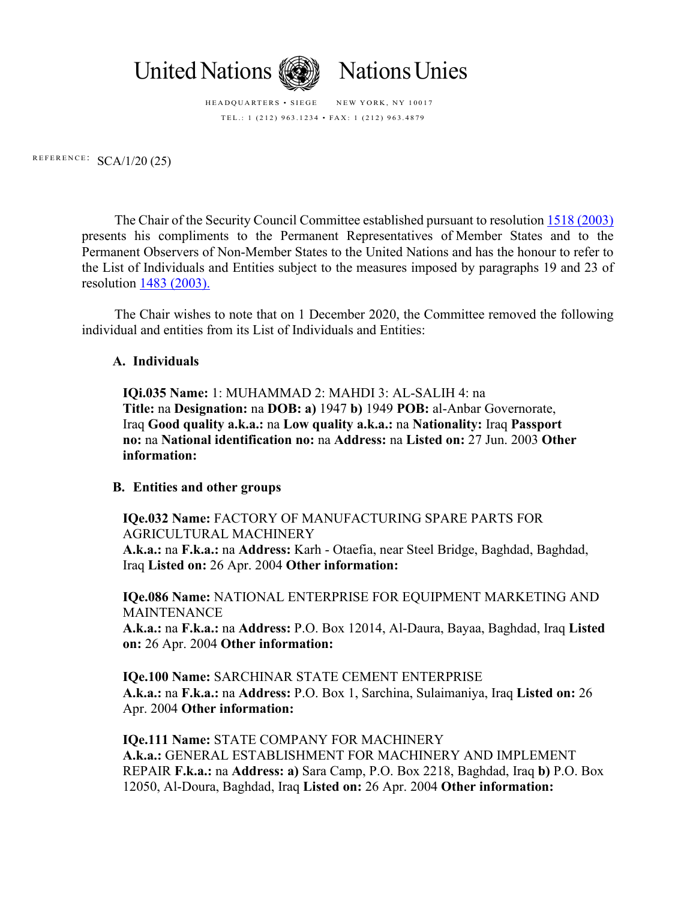



HEADQUARTERS • SIEGE NEW YORK, NY 10017 TEL.: 1 (212) 963.1234 • FAX: 1 (212) 963.4879

REFERENCE: SCA/1/20 (25)

The Chair of the Security Council Committee established pursuant to resolution [1518 \(2003\)](http://www.un.org/ga/search/view_doc.asp?symbol=S/RES/1518(2003)&Lang=S) presents his compliments to the Permanent Representatives of Member States and to the Permanent Observers of Non-Member States to the United Nations and has the honour to refer to the List of Individuals and Entities subject to the measures imposed by paragraphs 19 and 23 of resolution [1483 \(2003\).](http://www.un.org/ga/search/view_doc.asp?symbol=S/RES/1483%20%282003%29)

The Chair wishes to note that on 1 December 2020, the Committee removed the following individual and entities from its List of Individuals and Entities:

## **A. Individuals**

**IQi.035 Name:** 1: MUHAMMAD 2: MAHDI 3: AL-SALIH 4: na **Title:** na **Designation:** na **DOB: a)** 1947 **b)** 1949 **POB:** al-Anbar Governorate, Iraq **Good quality a.k.a.:** na **Low quality a.k.a.:** na **Nationality:** Iraq **Passport no:** na **National identification no:** na **Address:** na **Listed on:** 27 Jun. 2003 **Other information:**

## **B. Entities and other groups**

**IQe.032 Name:** FACTORY OF MANUFACTURING SPARE PARTS FOR AGRICULTURAL MACHINERY **A.k.a.:** na **F.k.a.:** na **Address:** Karh - Otaefia, near Steel Bridge, Baghdad, Baghdad, Iraq **Listed on:** 26 Apr. 2004 **Other information:**

**IQe.086 Name:** NATIONAL ENTERPRISE FOR EQUIPMENT MARKETING AND MAINTENANCE **A.k.a.:** na **F.k.a.:** na **Address:** P.O. Box 12014, Al-Daura, Bayaa, Baghdad, Iraq **Listed on:** 26 Apr. 2004 **Other information:**

**IQe.100 Name:** SARCHINAR STATE CEMENT ENTERPRISE **A.k.a.:** na **F.k.a.:** na **Address:** P.O. Box 1, Sarchina, Sulaimaniya, Iraq **Listed on:** 26 Apr. 2004 **Other information:**

**IQe.111 Name:** STATE COMPANY FOR MACHINERY **A.k.a.:** GENERAL ESTABLISHMENT FOR MACHINERY AND IMPLEMENT REPAIR **F.k.a.:** na **Address: a)** Sara Camp, P.O. Box 2218, Baghdad, Iraq **b)** P.O. Box 12050, Al-Doura, Baghdad, Iraq **Listed on:** 26 Apr. 2004 **Other information:**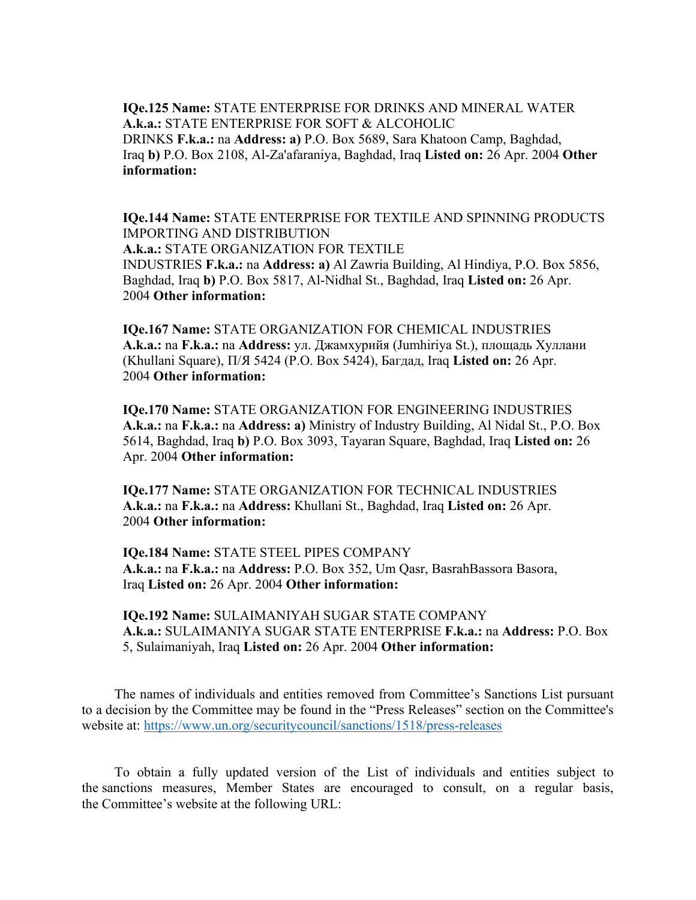**IQe.125 Name:** STATE ENTERPRISE FOR DRINKS AND MINERAL WATER **A.k.a.:** STATE ENTERPRISE FOR SOFT & ALCOHOLIC DRINKS **F.k.a.:** na **Address: a)** P.O. Box 5689, Sara Khatoon Camp, Baghdad, Iraq **b)** P.O. Box 2108, Al-Za'afaraniya, Baghdad, Iraq **Listed on:** 26 Apr. 2004 **Other information:**

**IQe.144 Name:** STATE ENTERPRISE FOR TEXTILE AND SPINNING PRODUCTS IMPORTING AND DISTRIBUTION **A.k.a.:** STATE ORGANIZATION FOR TEXTILE INDUSTRIES **F.k.a.:** na **Address: a)** Al Zawria Building, Al Hindiya, P.O. Box 5856, Baghdad, Iraq **b)** P.O. Box 5817, Al-Nidhal St., Baghdad, Iraq **Listed on:** 26 Apr. 2004 **Other information:**

**IQe.167 Name:** STATE ORGANIZATION FOR CHEMICAL INDUSTRIES **A.k.a.:** na **F.k.a.:** na **Address:** ул. Джамхурийя (Jumhiriya St.), площадь Хуллани (Khullani Square), П/Я 5424 (P.O. Box 5424), Багдад, Iraq **Listed on:** 26 Apr. 2004 **Other information:**

**IQe.170 Name:** STATE ORGANIZATION FOR ENGINEERING INDUSTRIES **A.k.a.:** na **F.k.a.:** na **Address: a)** Ministry of Industry Building, Al Nidal St., P.O. Box 5614, Baghdad, Iraq **b)** P.O. Box 3093, Tayaran Square, Baghdad, Iraq **Listed on:** 26 Apr. 2004 **Other information:**

**IQe.177 Name:** STATE ORGANIZATION FOR TECHNICAL INDUSTRIES **A.k.a.:** na **F.k.a.:** na **Address:** Khullani St., Baghdad, Iraq **Listed on:** 26 Apr. 2004 **Other information:**

**IQe.184 Name:** STATE STEEL PIPES COMPANY **A.k.a.:** na **F.k.a.:** na **Address:** P.O. Box 352, Um Qasr, BasrahBassora Basora, Iraq **Listed on:** 26 Apr. 2004 **Other information:**

**IQe.192 Name:** SULAIMANIYAH SUGAR STATE COMPANY **A.k.a.:** SULAIMANIYA SUGAR STATE ENTERPRISE **F.k.a.:** na **Address:** P.O. Box 5, Sulaimaniyah, Iraq **Listed on:** 26 Apr. 2004 **Other information:**

The names of individuals and entities removed from Committee's Sanctions List pursuant to a decision by the Committee may be found in the "Press Releases" section on the Committee's website at:<https://www.un.org/securitycouncil/sanctions/1518/press-releases>

To obtain a fully updated version of the List of individuals and entities subject to the sanctions measures, Member States are encouraged to consult, on a regular basis, the Committee's website at the following URL: